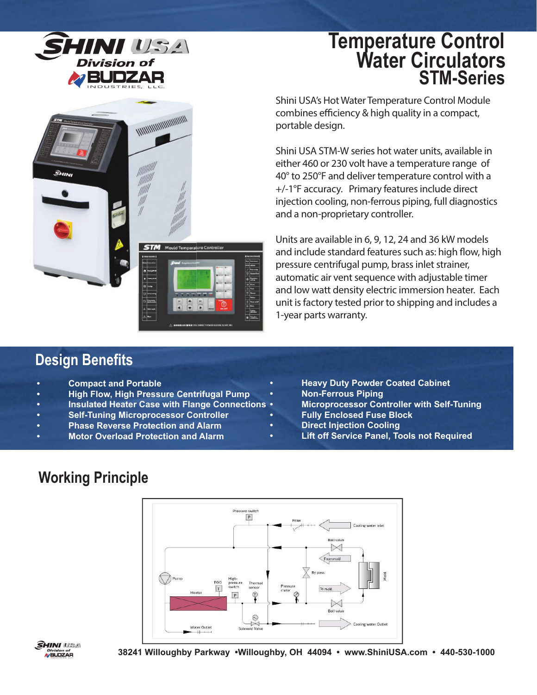

*MANAMANAMANAMANA* 

# **Water Circulators STM-Series Temperature Control**

Shini USA's Hot Water Temperature Control Module combines efficiency & high quality in a compact, portable design.

Shini USA STM-W series hot water units, available in either 460 or 230 volt have a temperature range of 40° to 250°F and deliver temperature control with a +/-1°F accuracy. Primary features include direct injection cooling, non-ferrous piping, full diagnostics and a non-proprietary controller.

Units are available in 6, 9, 12, 24 and 36 kW models and include standard features such as: high flow, high pressure centrifugal pump, brass inlet strainer, automatic air vent sequence with adjustable timer and low watt density electric immersion heater. Each unit is factory tested prior to shipping and includes a 1-year parts warranty.

#### **Design Benefits**

- **Compact and Portable**
- **High Flow, High Pressure Centrifugal Pump**
- **Insulated Heater Case with Flange Connections**
- **Self-Tuning Microprocessor Controller**
- **Phase Reverse Protection and Alarm**
- **Motor Overload Protection and Alarm**
- **Heavy Duty Powder Coated Cabinet**
- **Non-Ferrous Piping**
- **Microprocessor Controller with Self-Tuning**
- **Fully Enclosed Fuse Block**
- **Direct Injection Cooling**
- **Lift off Service Panel, Tools not Required**

## **Working Principle**